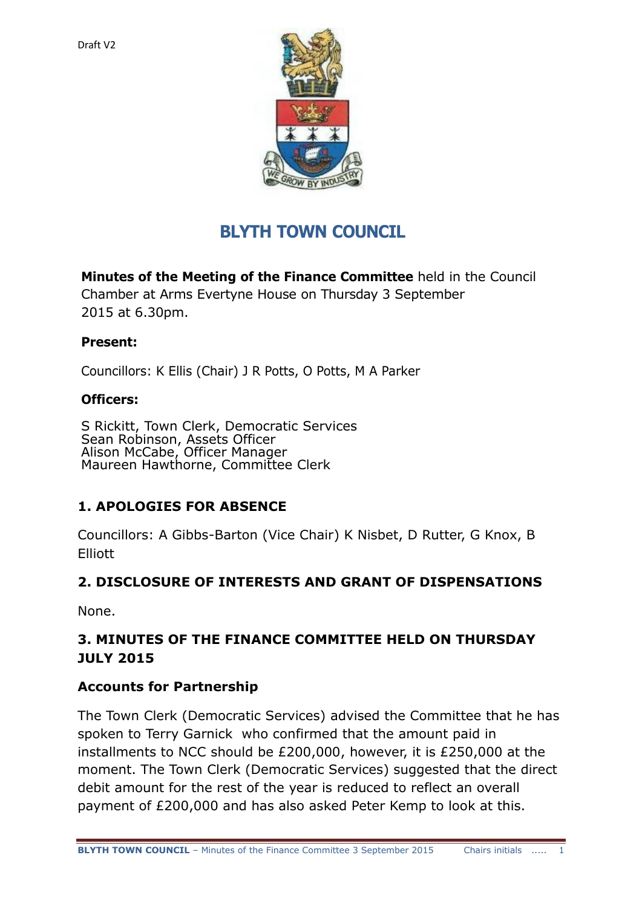

# **BLYTH TOWN COUNCIL**

**Minutes of the Meeting of the Finance Committee** held in the Council Chamber at Arms Evertyne House on Thursday 3 September 2015 at 6.30pm.

#### **Present:**

Councillors: K Ellis (Chair) J R Potts, O Potts, M A Parker

#### **Officers:**

S Rickitt, Town Clerk, Democratic Services Sean Robinson, Assets Officer Alison McCabe, Officer Manager Maureen Hawthorne, Committee Clerk

#### **1. APOLOGIES FOR ABSENCE**

Councillors: A Gibbs-Barton (Vice Chair) K Nisbet, D Rutter, G Knox, B Elliott

#### **2. DISCLOSURE OF INTERESTS AND GRANT OF DISPENSATIONS**

None.

# **3. MINUTES OF THE FINANCE COMMITTEE HELD ON THURSDAY JULY 2015**

#### **Accounts for Partnership**

The Town Clerk (Democratic Services) advised the Committee that he has spoken to Terry Garnick who confirmed that the amount paid in installments to NCC should be £200,000, however, it is £250,000 at the moment. The Town Clerk (Democratic Services) suggested that the direct debit amount for the rest of the year is reduced to reflect an overall payment of £200,000 and has also asked Peter Kemp to look at this.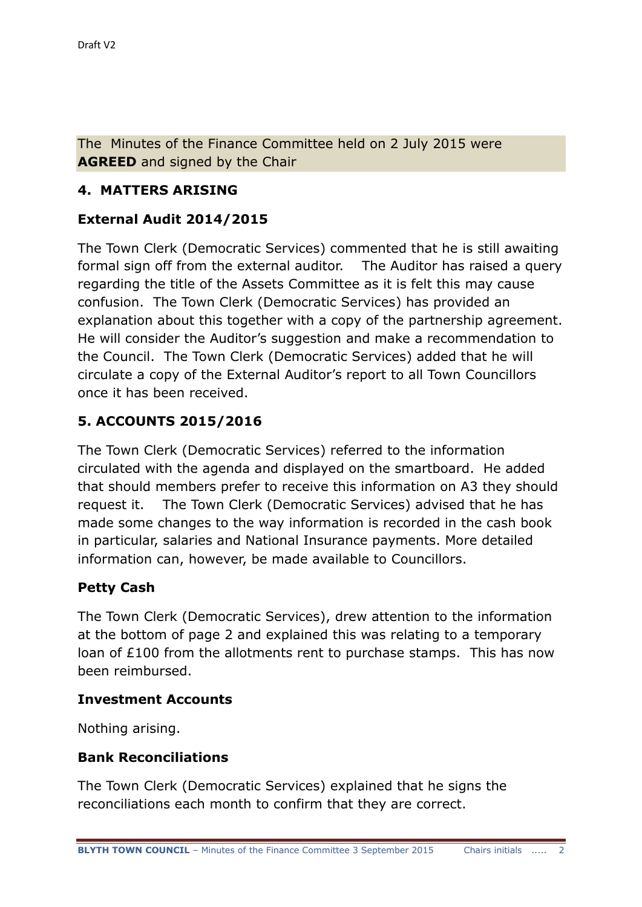The Minutes of the Finance Committee held on 2 July 2015 were **AGREED** and signed by the Chair

# **4. MATTERS ARISING**

## **External Audit 2014/2015**

The Town Clerk (Democratic Services) commented that he is still awaiting formal sign off from the external auditor. The Auditor has raised a query regarding the title of the Assets Committee as it is felt this may cause confusion. The Town Clerk (Democratic Services) has provided an explanation about this together with a copy of the partnership agreement. He will consider the Auditor's suggestion and make a recommendation to the Council. The Town Clerk (Democratic Services) added that he will circulate a copy of the External Auditor's report to all Town Councillors once it has been received.

# **5. ACCOUNTS 2015/2016**

The Town Clerk (Democratic Services) referred to the information circulated with the agenda and displayed on the smartboard. He added that should members prefer to receive this information on A3 they should request it. The Town Clerk (Democratic Services) advised that he has made some changes to the way information is recorded in the cash book in particular, salaries and National Insurance payments. More detailed information can, however, be made available to Councillors.

#### **Petty Cash**

The Town Clerk (Democratic Services), drew attention to the information at the bottom of page 2 and explained this was relating to a temporary loan of £100 from the allotments rent to purchase stamps. This has now been reimbursed.

#### **Investment Accounts**

Nothing arising.

#### **Bank Reconciliations**

The Town Clerk (Democratic Services) explained that he signs the reconciliations each month to confirm that they are correct.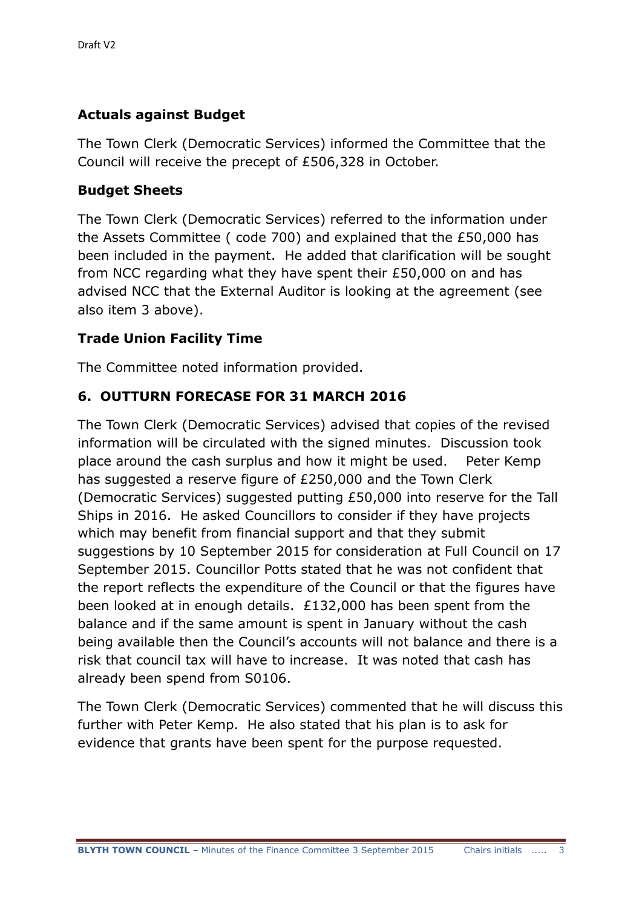## **Actuals against Budget**

The Town Clerk (Democratic Services) informed the Committee that the Council will receive the precept of £506,328 in October.

# **Budget Sheets**

The Town Clerk (Democratic Services) referred to the information under the Assets Committee ( code 700) and explained that the £50,000 has been included in the payment. He added that clarification will be sought from NCC regarding what they have spent their £50,000 on and has advised NCC that the External Auditor is looking at the agreement (see also item 3 above).

# **Trade Union Facility Time**

The Committee noted information provided.

# **6. OUTTURN FORECASE FOR 31 MARCH 2016**

The Town Clerk (Democratic Services) advised that copies of the revised information will be circulated with the signed minutes. Discussion took place around the cash surplus and how it might be used. Peter Kemp has suggested a reserve figure of £250,000 and the Town Clerk (Democratic Services) suggested putting £50,000 into reserve for the Tall Ships in 2016. He asked Councillors to consider if they have projects which may benefit from financial support and that they submit suggestions by 10 September 2015 for consideration at Full Council on 17 September 2015. Councillor Potts stated that he was not confident that the report reflects the expenditure of the Council or that the figures have been looked at in enough details. £132,000 has been spent from the balance and if the same amount is spent in January without the cash being available then the Council's accounts will not balance and there is a risk that council tax will have to increase. It was noted that cash has already been spend from S0106.

The Town Clerk (Democratic Services) commented that he will discuss this further with Peter Kemp. He also stated that his plan is to ask for evidence that grants have been spent for the purpose requested.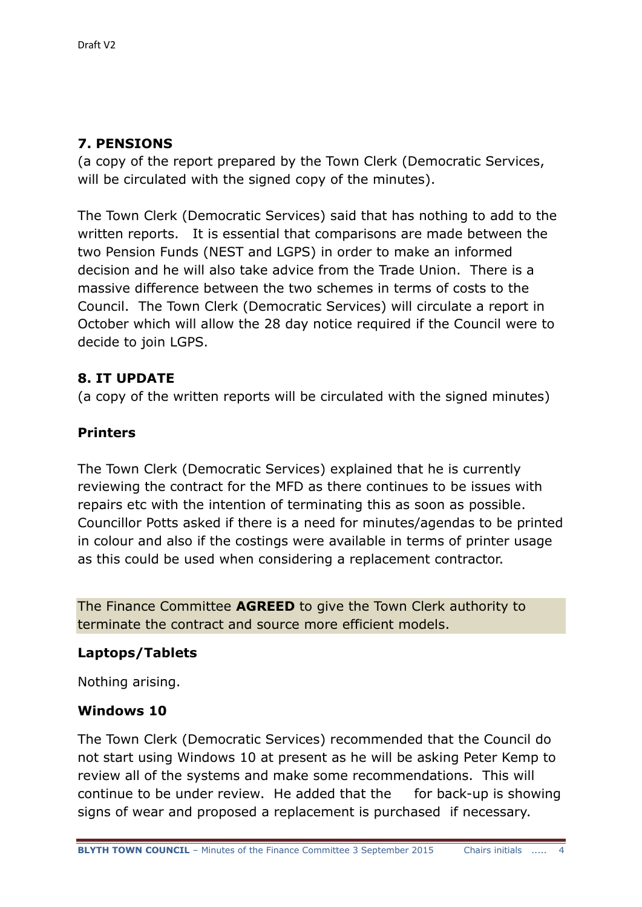# **7. PENSIONS**

(a copy of the report prepared by the Town Clerk (Democratic Services, will be circulated with the signed copy of the minutes).

The Town Clerk (Democratic Services) said that has nothing to add to the written reports. It is essential that comparisons are made between the two Pension Funds (NEST and LGPS) in order to make an informed decision and he will also take advice from the Trade Union. There is a massive difference between the two schemes in terms of costs to the Council. The Town Clerk (Democratic Services) will circulate a report in October which will allow the 28 day notice required if the Council were to decide to join LGPS.

# **8. IT UPDATE**

(a copy of the written reports will be circulated with the signed minutes)

# **Printers**

The Town Clerk (Democratic Services) explained that he is currently reviewing the contract for the MFD as there continues to be issues with repairs etc with the intention of terminating this as soon as possible. Councillor Potts asked if there is a need for minutes/agendas to be printed in colour and also if the costings were available in terms of printer usage as this could be used when considering a replacement contractor.

The Finance Committee **AGREED** to give the Town Clerk authority to terminate the contract and source more efficient models.

#### **Laptops/Tablets**

Nothing arising.

#### **Windows 10**

The Town Clerk (Democratic Services) recommended that the Council do not start using Windows 10 at present as he will be asking Peter Kemp to review all of the systems and make some recommendations. This will continue to be under review. He added that the for back-up is showing signs of wear and proposed a replacement is purchased if necessary.